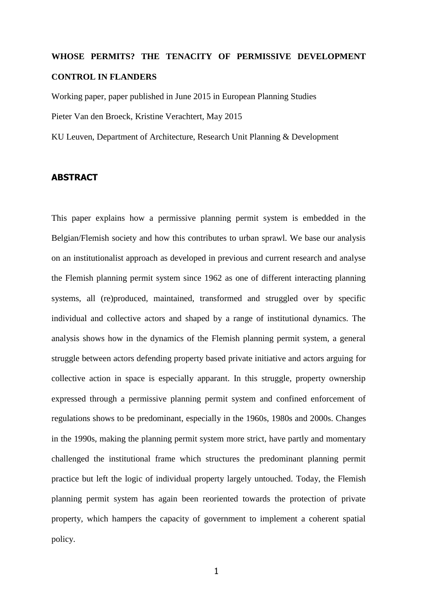# **WHOSE PERMITS? THE TENACITY OF PERMISSIVE DEVELOPMENT CONTROL IN FLANDERS**

Working paper, paper published in June 2015 in European Planning Studies Pieter Van den Broeck, Kristine Verachtert, May 2015

KU Leuven, Department of Architecture, Research Unit Planning & Development

# **ABSTRACT**

This paper explains how a permissive planning permit system is embedded in the Belgian/Flemish society and how this contributes to urban sprawl. We base our analysis on an institutionalist approach as developed in previous and current research and analyse the Flemish planning permit system since 1962 as one of different interacting planning systems, all (re)produced, maintained, transformed and struggled over by specific individual and collective actors and shaped by a range of institutional dynamics. The analysis shows how in the dynamics of the Flemish planning permit system, a general struggle between actors defending property based private initiative and actors arguing for collective action in space is especially apparant. In this struggle, property ownership expressed through a permissive planning permit system and confined enforcement of regulations shows to be predominant, especially in the 1960s, 1980s and 2000s. Changes in the 1990s, making the planning permit system more strict, have partly and momentary challenged the institutional frame which structures the predominant planning permit practice but left the logic of individual property largely untouched. Today, the Flemish planning permit system has again been reoriented towards the protection of private property, which hampers the capacity of government to implement a coherent spatial policy.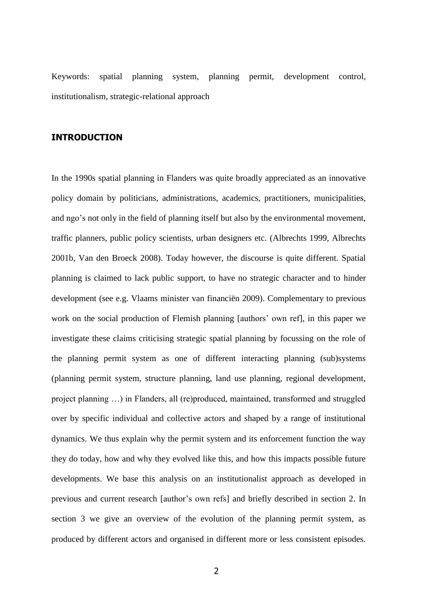Keywords: spatial planning system, planning permit, development control, institutionalism, strategic-relational approach

## **INTRODUCTION**

In the 1990s spatial planning in Flanders was quite broadly appreciated as an innovative policy domain by politicians, administrations, academics, practitioners, municipalities, and ngo's not only in the field of planning itself but also by the environmental movement, traffic planners, public policy scientists, urban designers etc. (Albrechts 1999, Albrechts 2001b, Van den Broeck 2008). Today however, the discourse is quite different. Spatial planning is claimed to lack public support, to have no strategic character and to hinder development (see e.g. Vlaams minister van financiën 2009). Complementary to previous work on the social production of Flemish planning [authors' own ref], in this paper we investigate these claims criticising strategic spatial planning by focussing on the role of the planning permit system as one of different interacting planning (sub)systems (planning permit system, structure planning, land use planning, regional development, project planning …) in Flanders, all (re)produced, maintained, transformed and struggled over by specific individual and collective actors and shaped by a range of institutional dynamics. We thus explain why the permit system and its enforcement function the way they do today, how and why they evolved like this, and how this impacts possible future developments. We base this analysis on an institutionalist approach as developed in previous and current research [author's own refs] and briefly described in section 2. In section 3 we give an overview of the evolution of the planning permit system, as produced by different actors and organised in different more or less consistent episodes.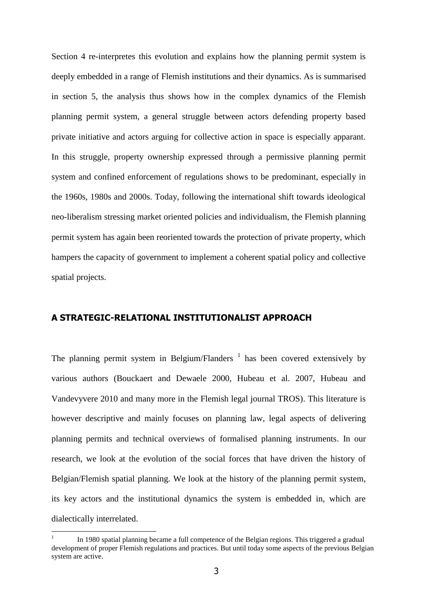Section 4 re-interpretes this evolution and explains how the planning permit system is deeply embedded in a range of Flemish institutions and their dynamics. As is summarised in section 5, the analysis thus shows how in the complex dynamics of the Flemish planning permit system, a general struggle between actors defending property based private initiative and actors arguing for collective action in space is especially apparant. In this struggle, property ownership expressed through a permissive planning permit system and confined enforcement of regulations shows to be predominant, especially in the 1960s, 1980s and 2000s. Today, following the international shift towards ideological neo-liberalism stressing market oriented policies and individualism, the Flemish planning permit system has again been reoriented towards the protection of private property, which hampers the capacity of government to implement a coherent spatial policy and collective spatial projects.

# **A STRATEGIC-RELATIONAL INSTITUTIONALIST APPROACH**

The planning permit system in Belgium/Flanders  $<sup>1</sup>$  has been covered extensively by</sup> various authors (Bouckaert and Dewaele 2000, Hubeau et al. 2007, Hubeau and Vandevyvere 2010 and many more in the Flemish legal journal TROS). This literature is however descriptive and mainly focuses on planning law, legal aspects of delivering planning permits and technical overviews of formalised planning instruments. In our research, we look at the evolution of the social forces that have driven the history of Belgian/Flemish spatial planning. We look at the history of the planning permit system, its key actors and the institutional dynamics the system is embedded in, which are dialectically interrelated.

1

<sup>1</sup> In 1980 spatial planning became a full competence of the Belgian regions. This triggered a gradual development of proper Flemish regulations and practices. But until today some aspects of the previous Belgian system are active.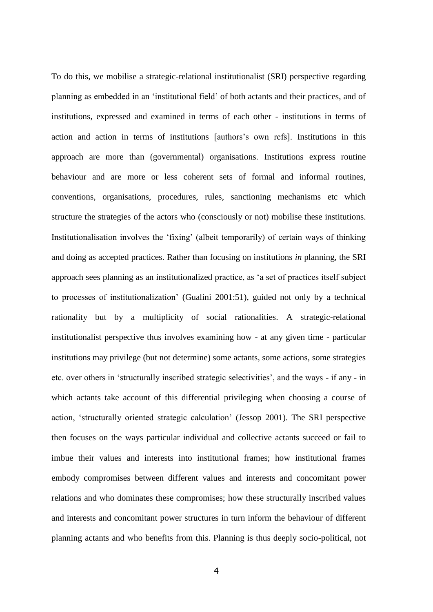To do this, we mobilise a strategic-relational institutionalist (SRI) perspective regarding planning as embedded in an 'institutional field' of both actants and their practices, and of institutions, expressed and examined in terms of each other - institutions in terms of action and action in terms of institutions [authors's own refs]. Institutions in this approach are more than (governmental) organisations. Institutions express routine behaviour and are more or less coherent sets of formal and informal routines, conventions, organisations, procedures, rules, sanctioning mechanisms etc which structure the strategies of the actors who (consciously or not) mobilise these institutions. Institutionalisation involves the 'fixing' (albeit temporarily) of certain ways of thinking and doing as accepted practices. Rather than focusing on institutions *in* planning, the SRI approach sees planning as an institutionalized practice, as 'a set of practices itself subject to processes of institutionalization' (Gualini 2001:51), guided not only by a technical rationality but by a multiplicity of social rationalities. A strategic-relational institutionalist perspective thus involves examining how - at any given time - particular institutions may privilege (but not determine) some actants, some actions, some strategies etc. over others in 'structurally inscribed strategic selectivities', and the ways - if any - in which actants take account of this differential privileging when choosing a course of action, 'structurally oriented strategic calculation' (Jessop 2001). The SRI perspective then focuses on the ways particular individual and collective actants succeed or fail to imbue their values and interests into institutional frames; how institutional frames embody compromises between different values and interests and concomitant power relations and who dominates these compromises; how these structurally inscribed values and interests and concomitant power structures in turn inform the behaviour of different planning actants and who benefits from this. Planning is thus deeply socio-political, not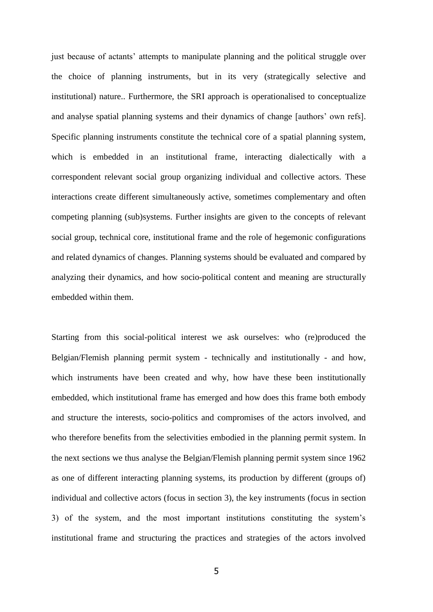just because of actants' attempts to manipulate planning and the political struggle over the choice of planning instruments, but in its very (strategically selective and institutional) nature.. Furthermore, the SRI approach is operationalised to conceptualize and analyse spatial planning systems and their dynamics of change [authors' own refs]. Specific planning instruments constitute the technical core of a spatial planning system, which is embedded in an institutional frame, interacting dialectically with a correspondent relevant social group organizing individual and collective actors. These interactions create different simultaneously active, sometimes complementary and often competing planning (sub)systems. Further insights are given to the concepts of relevant social group, technical core, institutional frame and the role of hegemonic configurations and related dynamics of changes. Planning systems should be evaluated and compared by analyzing their dynamics, and how socio-political content and meaning are structurally embedded within them.

Starting from this social-political interest we ask ourselves: who (re)produced the Belgian/Flemish planning permit system - technically and institutionally - and how, which instruments have been created and why, how have these been institutionally embedded, which institutional frame has emerged and how does this frame both embody and structure the interests, socio-politics and compromises of the actors involved, and who therefore benefits from the selectivities embodied in the planning permit system. In the next sections we thus analyse the Belgian/Flemish planning permit system since 1962 as one of different interacting planning systems, its production by different (groups of) individual and collective actors (focus in section 3), the key instruments (focus in section 3) of the system, and the most important institutions constituting the system's institutional frame and structuring the practices and strategies of the actors involved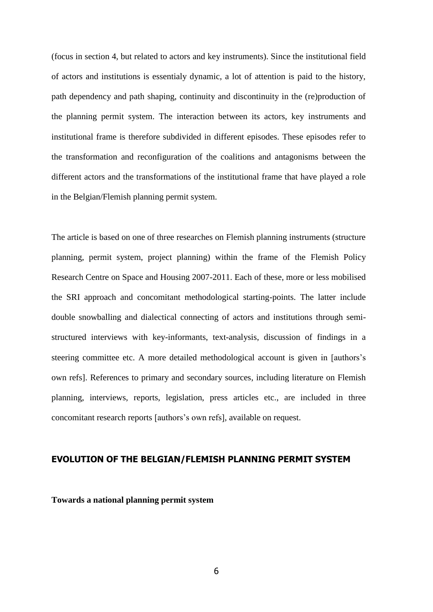(focus in section 4, but related to actors and key instruments). Since the institutional field of actors and institutions is essentialy dynamic, a lot of attention is paid to the history, path dependency and path shaping, continuity and discontinuity in the (re)production of the planning permit system. The interaction between its actors, key instruments and institutional frame is therefore subdivided in different episodes. These episodes refer to the transformation and reconfiguration of the coalitions and antagonisms between the different actors and the transformations of the institutional frame that have played a role in the Belgian/Flemish planning permit system.

The article is based on one of three researches on Flemish planning instruments (structure planning, permit system, project planning) within the frame of the Flemish Policy Research Centre on Space and Housing 2007-2011. Each of these, more or less mobilised the SRI approach and concomitant methodological starting-points. The latter include double snowballing and dialectical connecting of actors and institutions through semistructured interviews with key-informants, text-analysis, discussion of findings in a steering committee etc. A more detailed methodological account is given in [authors's own refs]. References to primary and secondary sources, including literature on Flemish planning, interviews, reports, legislation, press articles etc., are included in three concomitant research reports [authors's own refs], available on request.

## **EVOLUTION OF THE BELGIAN/FLEMISH PLANNING PERMIT SYSTEM**

**Towards a national planning permit system**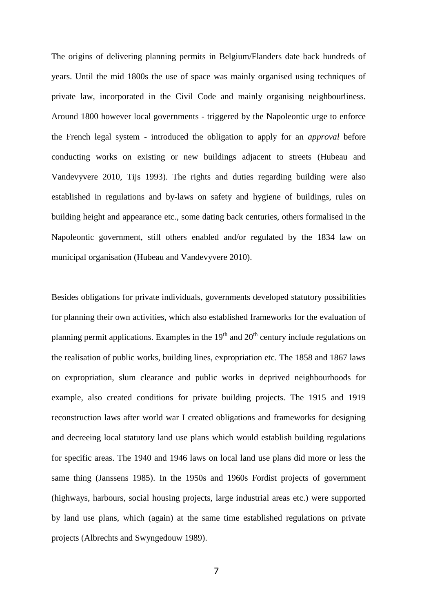The origins of delivering planning permits in Belgium/Flanders date back hundreds of years. Until the mid 1800s the use of space was mainly organised using techniques of private law, incorporated in the Civil Code and mainly organising neighbourliness. Around 1800 however local governments - triggered by the Napoleontic urge to enforce the French legal system - introduced the obligation to apply for an *approval* before conducting works on existing or new buildings adjacent to streets (Hubeau and Vandevyvere 2010, Tijs 1993). The rights and duties regarding building were also established in regulations and by-laws on safety and hygiene of buildings, rules on building height and appearance etc., some dating back centuries, others formalised in the Napoleontic government, still others enabled and/or regulated by the 1834 law on municipal organisation (Hubeau and Vandevyvere 2010).

Besides obligations for private individuals, governments developed statutory possibilities for planning their own activities, which also established frameworks for the evaluation of planning permit applications. Examples in the  $19<sup>th</sup>$  and  $20<sup>th</sup>$  century include regulations on the realisation of public works, building lines, expropriation etc. The 1858 and 1867 laws on expropriation, slum clearance and public works in deprived neighbourhoods for example, also created conditions for private building projects. The 1915 and 1919 reconstruction laws after world war I created obligations and frameworks for designing and decreeing local statutory land use plans which would establish building regulations for specific areas. The 1940 and 1946 laws on local land use plans did more or less the same thing (Janssens 1985). In the 1950s and 1960s Fordist projects of government (highways, harbours, social housing projects, large industrial areas etc.) were supported by land use plans, which (again) at the same time established regulations on private projects (Albrechts and Swyngedouw 1989).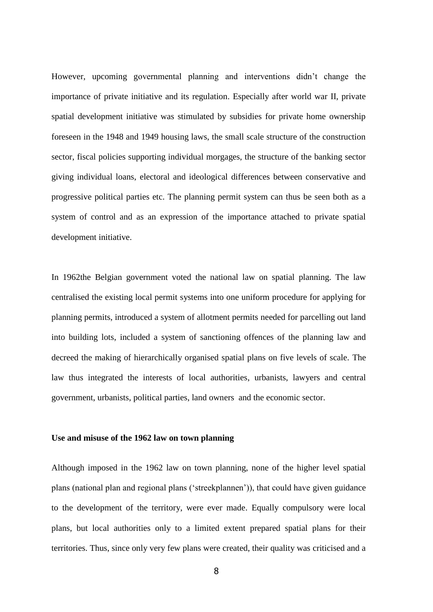However, upcoming governmental planning and interventions didn't change the importance of private initiative and its regulation. Especially after world war II, private spatial development initiative was stimulated by subsidies for private home ownership foreseen in the 1948 and 1949 housing laws, the small scale structure of the construction sector, fiscal policies supporting individual morgages, the structure of the banking sector giving individual loans, electoral and ideological differences between conservative and progressive political parties etc. The planning permit system can thus be seen both as a system of control and as an expression of the importance attached to private spatial development initiative.

In 1962the Belgian government voted the national law on spatial planning. The law centralised the existing local permit systems into one uniform procedure for applying for planning permits, introduced a system of allotment permits needed for parcelling out land into building lots, included a system of sanctioning offences of the planning law and decreed the making of hierarchically organised spatial plans on five levels of scale. The law thus integrated the interests of local authorities, urbanists, lawyers and central government, urbanists, political parties, land owners and the economic sector.

#### **Use and misuse of the 1962 law on town planning**

Although imposed in the 1962 law on town planning, none of the higher level spatial plans (national plan and regional plans ('streekplannen')), that could have given guidance to the development of the territory, were ever made. Equally compulsory were local plans, but local authorities only to a limited extent prepared spatial plans for their territories. Thus, since only very few plans were created, their quality was criticised and a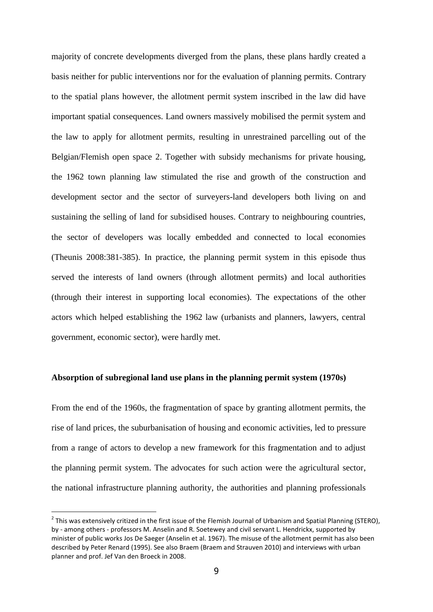majority of concrete developments diverged from the plans, these plans hardly created a basis neither for public interventions nor for the evaluation of planning permits. Contrary to the spatial plans however, the allotment permit system inscribed in the law did have important spatial consequences. Land owners massively mobilised the permit system and the law to apply for allotment permits, resulting in unrestrained parcelling out of the Belgian/Flemish open space 2. Together with subsidy mechanisms for private housing, the 1962 town planning law stimulated the rise and growth of the construction and development sector and the sector of surveyers-land developers both living on and sustaining the selling of land for subsidised houses. Contrary to neighbouring countries, the sector of developers was locally embedded and connected to local economies (Theunis 2008:381-385). In practice, the planning permit system in this episode thus served the interests of land owners (through allotment permits) and local authorities (through their interest in supporting local economies). The expectations of the other actors which helped establishing the 1962 law (urbanists and planners, lawyers, central government, economic sector), were hardly met.

#### **Absorption of subregional land use plans in the planning permit system (1970s)**

From the end of the 1960s, the fragmentation of space by granting allotment permits, the rise of land prices, the suburbanisation of housing and economic activities, led to pressure from a range of actors to develop a new framework for this fragmentation and to adjust the planning permit system. The advocates for such action were the agricultural sector, the national infrastructure planning authority, the authorities and planning professionals

1

 $^2$  This was extensively critized in the first issue of the Flemish Journal of Urbanism and Spatial Planning (STERO), by - among others - professors M. Anselin and R. Soetewey and civil servant L. Hendrickx, supported by minister of public works Jos De Saeger (Anselin et al. 1967). The misuse of the allotment permit has also been described by Peter Renard (1995). See also Braem (Braem and Strauven 2010) and interviews with urban planner and prof. Jef Van den Broeck in 2008.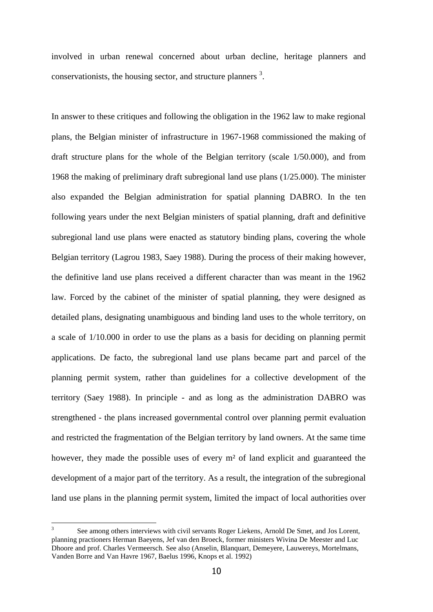involved in urban renewal concerned about urban decline, heritage planners and conservationists, the housing sector, and structure planners  $3$ .

In answer to these critiques and following the obligation in the 1962 law to make regional plans, the Belgian minister of infrastructure in 1967-1968 commissioned the making of draft structure plans for the whole of the Belgian territory (scale 1/50.000), and from 1968 the making of preliminary draft subregional land use plans (1/25.000). The minister also expanded the Belgian administration for spatial planning DABRO. In the ten following years under the next Belgian ministers of spatial planning, draft and definitive subregional land use plans were enacted as statutory binding plans, covering the whole Belgian territory (Lagrou 1983, Saey 1988). During the process of their making however, the definitive land use plans received a different character than was meant in the 1962 law. Forced by the cabinet of the minister of spatial planning, they were designed as detailed plans, designating unambiguous and binding land uses to the whole territory, on a scale of 1/10.000 in order to use the plans as a basis for deciding on planning permit applications. De facto, the subregional land use plans became part and parcel of the planning permit system, rather than guidelines for a collective development of the territory (Saey 1988). In principle - and as long as the administration DABRO was strengthened - the plans increased governmental control over planning permit evaluation and restricted the fragmentation of the Belgian territory by land owners. At the same time however, they made the possible uses of every m² of land explicit and guaranteed the development of a major part of the territory. As a result, the integration of the subregional land use plans in the planning permit system, limited the impact of local authorities over

 $\frac{1}{3}$ See among others interviews with civil servants Roger Liekens, Arnold De Smet, and Jos Lorent, planning practioners Herman Baeyens, Jef van den Broeck, former ministers Wivina De Meester and Luc Dhoore and prof. Charles Vermeersch. See also (Anselin, Blanquart, Demeyere, Lauwereys, Mortelmans, Vanden Borre and Van Havre 1967, Baelus 1996, Knops et al. 1992)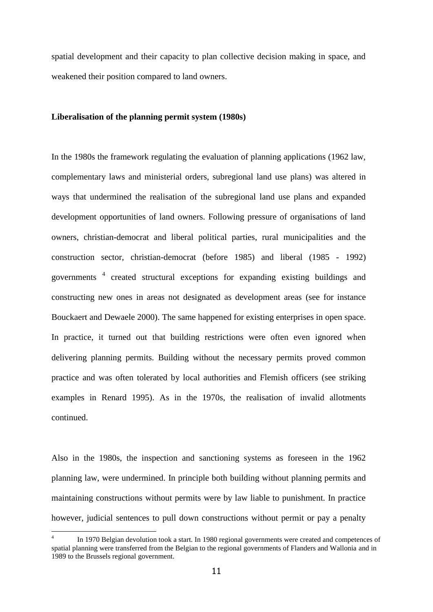spatial development and their capacity to plan collective decision making in space, and weakened their position compared to land owners.

## **Liberalisation of the planning permit system (1980s)**

In the 1980s the framework regulating the evaluation of planning applications (1962 law, complementary laws and ministerial orders, subregional land use plans) was altered in ways that undermined the realisation of the subregional land use plans and expanded development opportunities of land owners. Following pressure of organisations of land owners, christian-democrat and liberal political parties, rural municipalities and the construction sector, christian-democrat (before 1985) and liberal (1985 - 1992) governments<sup>4</sup> created structural exceptions for expanding existing buildings and constructing new ones in areas not designated as development areas (see for instance Bouckaert and Dewaele 2000). The same happened for existing enterprises in open space. In practice, it turned out that building restrictions were often even ignored when delivering planning permits. Building without the necessary permits proved common practice and was often tolerated by local authorities and Flemish officers (see striking examples in Renard 1995). As in the 1970s, the realisation of invalid allotments continued.

Also in the 1980s, the inspection and sanctioning systems as foreseen in the 1962 planning law, were undermined. In principle both building without planning permits and maintaining constructions without permits were by law liable to punishment. In practice however, judicial sentences to pull down constructions without permit or pay a penalty

1

<sup>4</sup> In 1970 Belgian devolution took a start. In 1980 regional governments were created and competences of spatial planning were transferred from the Belgian to the regional governments of Flanders and Wallonia and in 1989 to the Brussels regional government.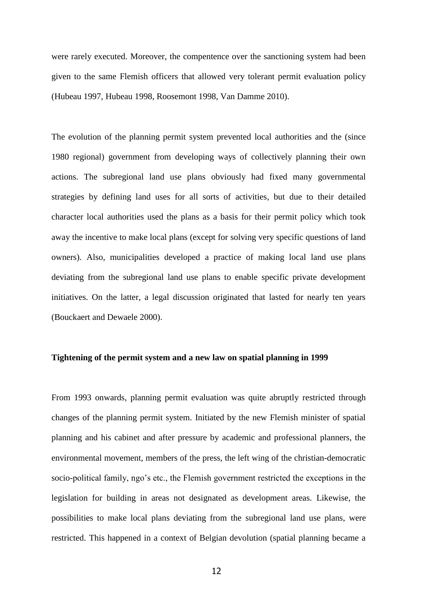were rarely executed. Moreover, the compentence over the sanctioning system had been given to the same Flemish officers that allowed very tolerant permit evaluation policy (Hubeau 1997, Hubeau 1998, Roosemont 1998, Van Damme 2010).

The evolution of the planning permit system prevented local authorities and the (since 1980 regional) government from developing ways of collectively planning their own actions. The subregional land use plans obviously had fixed many governmental strategies by defining land uses for all sorts of activities, but due to their detailed character local authorities used the plans as a basis for their permit policy which took away the incentive to make local plans (except for solving very specific questions of land owners). Also, municipalities developed a practice of making local land use plans deviating from the subregional land use plans to enable specific private development initiatives. On the latter, a legal discussion originated that lasted for nearly ten years (Bouckaert and Dewaele 2000).

#### **Tightening of the permit system and a new law on spatial planning in 1999**

From 1993 onwards, planning permit evaluation was quite abruptly restricted through changes of the planning permit system. Initiated by the new Flemish minister of spatial planning and his cabinet and after pressure by academic and professional planners, the environmental movement, members of the press, the left wing of the christian-democratic socio-political family, ngo's etc., the Flemish government restricted the exceptions in the legislation for building in areas not designated as development areas. Likewise, the possibilities to make local plans deviating from the subregional land use plans, were restricted. This happened in a context of Belgian devolution (spatial planning became a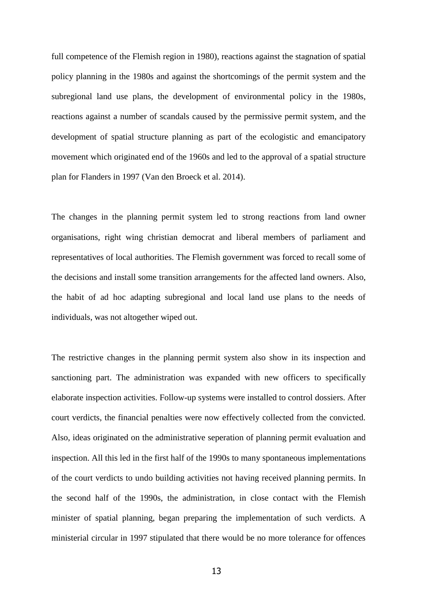full competence of the Flemish region in 1980), reactions against the stagnation of spatial policy planning in the 1980s and against the shortcomings of the permit system and the subregional land use plans, the development of environmental policy in the 1980s, reactions against a number of scandals caused by the permissive permit system, and the development of spatial structure planning as part of the ecologistic and emancipatory movement which originated end of the 1960s and led to the approval of a spatial structure plan for Flanders in 1997 (Van den Broeck et al. 2014).

The changes in the planning permit system led to strong reactions from land owner organisations, right wing christian democrat and liberal members of parliament and representatives of local authorities. The Flemish government was forced to recall some of the decisions and install some transition arrangements for the affected land owners. Also, the habit of ad hoc adapting subregional and local land use plans to the needs of individuals, was not altogether wiped out.

The restrictive changes in the planning permit system also show in its inspection and sanctioning part. The administration was expanded with new officers to specifically elaborate inspection activities. Follow-up systems were installed to control dossiers. After court verdicts, the financial penalties were now effectively collected from the convicted. Also, ideas originated on the administrative seperation of planning permit evaluation and inspection. All this led in the first half of the 1990s to many spontaneous implementations of the court verdicts to undo building activities not having received planning permits. In the second half of the 1990s, the administration, in close contact with the Flemish minister of spatial planning, began preparing the implementation of such verdicts. A ministerial circular in 1997 stipulated that there would be no more tolerance for offences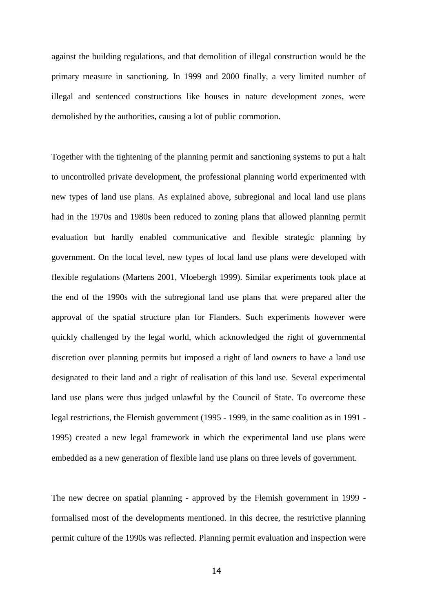against the building regulations, and that demolition of illegal construction would be the primary measure in sanctioning. In 1999 and 2000 finally, a very limited number of illegal and sentenced constructions like houses in nature development zones, were demolished by the authorities, causing a lot of public commotion.

Together with the tightening of the planning permit and sanctioning systems to put a halt to uncontrolled private development, the professional planning world experimented with new types of land use plans. As explained above, subregional and local land use plans had in the 1970s and 1980s been reduced to zoning plans that allowed planning permit evaluation but hardly enabled communicative and flexible strategic planning by government. On the local level, new types of local land use plans were developed with flexible regulations (Martens 2001, Vloebergh 1999). Similar experiments took place at the end of the 1990s with the subregional land use plans that were prepared after the approval of the spatial structure plan for Flanders. Such experiments however were quickly challenged by the legal world, which acknowledged the right of governmental discretion over planning permits but imposed a right of land owners to have a land use designated to their land and a right of realisation of this land use. Several experimental land use plans were thus judged unlawful by the Council of State. To overcome these legal restrictions, the Flemish government (1995 - 1999, in the same coalition as in 1991 - 1995) created a new legal framework in which the experimental land use plans were embedded as a new generation of flexible land use plans on three levels of government.

The new decree on spatial planning - approved by the Flemish government in 1999 formalised most of the developments mentioned. In this decree, the restrictive planning permit culture of the 1990s was reflected. Planning permit evaluation and inspection were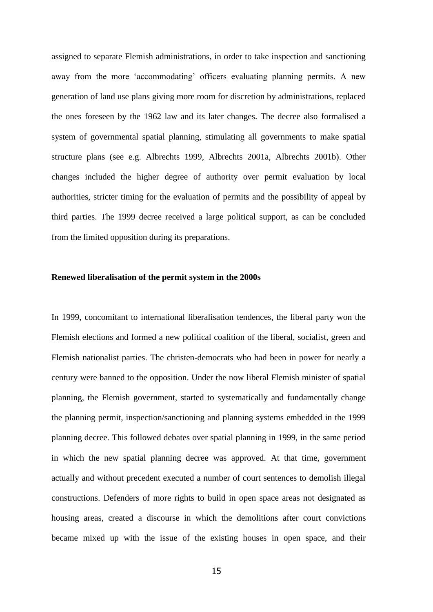assigned to separate Flemish administrations, in order to take inspection and sanctioning away from the more 'accommodating' officers evaluating planning permits. A new generation of land use plans giving more room for discretion by administrations, replaced the ones foreseen by the 1962 law and its later changes. The decree also formalised a system of governmental spatial planning, stimulating all governments to make spatial structure plans (see e.g. Albrechts 1999, Albrechts 2001a, Albrechts 2001b). Other changes included the higher degree of authority over permit evaluation by local authorities, stricter timing for the evaluation of permits and the possibility of appeal by third parties. The 1999 decree received a large political support, as can be concluded from the limited opposition during its preparations.

#### **Renewed liberalisation of the permit system in the 2000s**

In 1999, concomitant to international liberalisation tendences, the liberal party won the Flemish elections and formed a new political coalition of the liberal, socialist, green and Flemish nationalist parties. The christen-democrats who had been in power for nearly a century were banned to the opposition. Under the now liberal Flemish minister of spatial planning, the Flemish government, started to systematically and fundamentally change the planning permit, inspection/sanctioning and planning systems embedded in the 1999 planning decree. This followed debates over spatial planning in 1999, in the same period in which the new spatial planning decree was approved. At that time, government actually and without precedent executed a number of court sentences to demolish illegal constructions. Defenders of more rights to build in open space areas not designated as housing areas, created a discourse in which the demolitions after court convictions became mixed up with the issue of the existing houses in open space, and their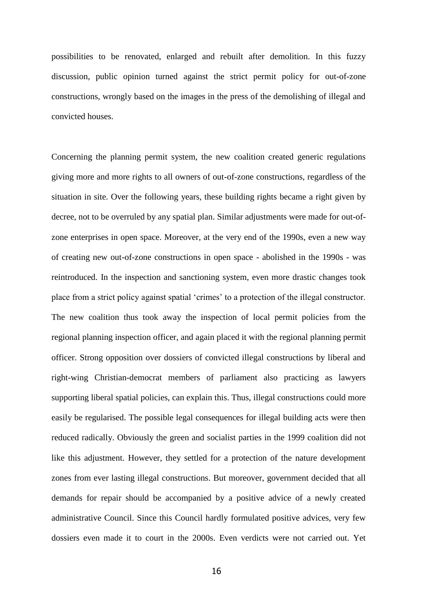possibilities to be renovated, enlarged and rebuilt after demolition. In this fuzzy discussion, public opinion turned against the strict permit policy for out-of-zone constructions, wrongly based on the images in the press of the demolishing of illegal and convicted houses.

Concerning the planning permit system, the new coalition created generic regulations giving more and more rights to all owners of out-of-zone constructions, regardless of the situation in site. Over the following years, these building rights became a right given by decree, not to be overruled by any spatial plan. Similar adjustments were made for out-ofzone enterprises in open space. Moreover, at the very end of the 1990s, even a new way of creating new out-of-zone constructions in open space - abolished in the 1990s - was reintroduced. In the inspection and sanctioning system, even more drastic changes took place from a strict policy against spatial 'crimes' to a protection of the illegal constructor. The new coalition thus took away the inspection of local permit policies from the regional planning inspection officer, and again placed it with the regional planning permit officer. Strong opposition over dossiers of convicted illegal constructions by liberal and right-wing Christian-democrat members of parliament also practicing as lawyers supporting liberal spatial policies, can explain this. Thus, illegal constructions could more easily be regularised. The possible legal consequences for illegal building acts were then reduced radically. Obviously the green and socialist parties in the 1999 coalition did not like this adjustment. However, they settled for a protection of the nature development zones from ever lasting illegal constructions. But moreover, government decided that all demands for repair should be accompanied by a positive advice of a newly created administrative Council. Since this Council hardly formulated positive advices, very few dossiers even made it to court in the 2000s. Even verdicts were not carried out. Yet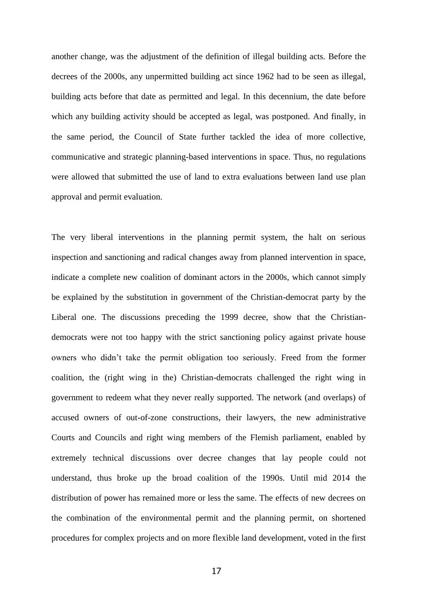another change, was the adjustment of the definition of illegal building acts. Before the decrees of the 2000s, any unpermitted building act since 1962 had to be seen as illegal, building acts before that date as permitted and legal. In this decennium, the date before which any building activity should be accepted as legal, was postponed. And finally, in the same period, the Council of State further tackled the idea of more collective, communicative and strategic planning-based interventions in space. Thus, no regulations were allowed that submitted the use of land to extra evaluations between land use plan approval and permit evaluation.

The very liberal interventions in the planning permit system, the halt on serious inspection and sanctioning and radical changes away from planned intervention in space, indicate a complete new coalition of dominant actors in the 2000s, which cannot simply be explained by the substitution in government of the Christian-democrat party by the Liberal one. The discussions preceding the 1999 decree, show that the Christiandemocrats were not too happy with the strict sanctioning policy against private house owners who didn't take the permit obligation too seriously. Freed from the former coalition, the (right wing in the) Christian-democrats challenged the right wing in government to redeem what they never really supported. The network (and overlaps) of accused owners of out-of-zone constructions, their lawyers, the new administrative Courts and Councils and right wing members of the Flemish parliament, enabled by extremely technical discussions over decree changes that lay people could not understand, thus broke up the broad coalition of the 1990s. Until mid 2014 the distribution of power has remained more or less the same. The effects of new decrees on the combination of the environmental permit and the planning permit, on shortened procedures for complex projects and on more flexible land development, voted in the first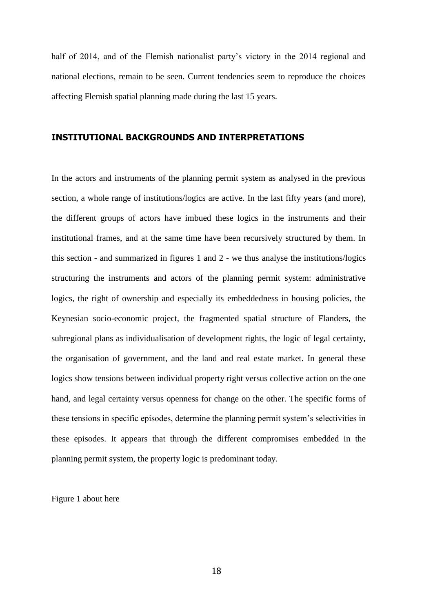half of 2014, and of the Flemish nationalist party's victory in the 2014 regional and national elections, remain to be seen. Current tendencies seem to reproduce the choices affecting Flemish spatial planning made during the last 15 years.

## **INSTITUTIONAL BACKGROUNDS AND INTERPRETATIONS**

In the actors and instruments of the planning permit system as analysed in the previous section, a whole range of institutions/logics are active. In the last fifty years (and more), the different groups of actors have imbued these logics in the instruments and their institutional frames, and at the same time have been recursively structured by them. In this section - and summarized in figures 1 and 2 - we thus analyse the institutions/logics structuring the instruments and actors of the planning permit system: administrative logics, the right of ownership and especially its embeddedness in housing policies, the Keynesian socio-economic project, the fragmented spatial structure of Flanders, the subregional plans as individualisation of development rights, the logic of legal certainty, the organisation of government, and the land and real estate market. In general these logics show tensions between individual property right versus collective action on the one hand, and legal certainty versus openness for change on the other. The specific forms of these tensions in specific episodes, determine the planning permit system's selectivities in these episodes. It appears that through the different compromises embedded in the planning permit system, the property logic is predominant today.

Figure 1 about here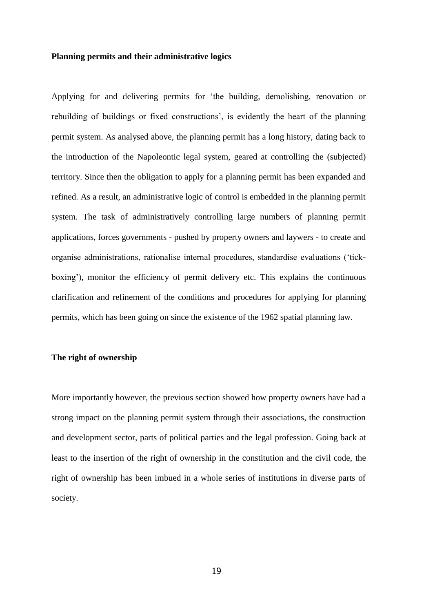#### **Planning permits and their administrative logics**

Applying for and delivering permits for 'the building, demolishing, renovation or rebuilding of buildings or fixed constructions', is evidently the heart of the planning permit system. As analysed above, the planning permit has a long history, dating back to the introduction of the Napoleontic legal system, geared at controlling the (subjected) territory. Since then the obligation to apply for a planning permit has been expanded and refined. As a result, an administrative logic of control is embedded in the planning permit system. The task of administratively controlling large numbers of planning permit applications, forces governments - pushed by property owners and laywers - to create and organise administrations, rationalise internal procedures, standardise evaluations ('tickboxing'), monitor the efficiency of permit delivery etc. This explains the continuous clarification and refinement of the conditions and procedures for applying for planning permits, which has been going on since the existence of the 1962 spatial planning law.

#### **The right of ownership**

More importantly however, the previous section showed how property owners have had a strong impact on the planning permit system through their associations, the construction and development sector, parts of political parties and the legal profession. Going back at least to the insertion of the right of ownership in the constitution and the civil code, the right of ownership has been imbued in a whole series of institutions in diverse parts of society.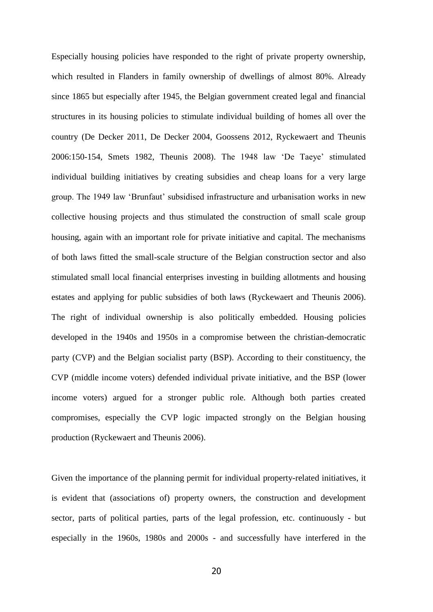Especially housing policies have responded to the right of private property ownership, which resulted in Flanders in family ownership of dwellings of almost 80%. Already since 1865 but especially after 1945, the Belgian government created legal and financial structures in its housing policies to stimulate individual building of homes all over the country (De Decker 2011, De Decker 2004, Goossens 2012, Ryckewaert and Theunis 2006:150-154, Smets 1982, Theunis 2008). The 1948 law 'De Taeye' stimulated individual building initiatives by creating subsidies and cheap loans for a very large group. The 1949 law 'Brunfaut' subsidised infrastructure and urbanisation works in new collective housing projects and thus stimulated the construction of small scale group housing, again with an important role for private initiative and capital. The mechanisms of both laws fitted the small-scale structure of the Belgian construction sector and also stimulated small local financial enterprises investing in building allotments and housing estates and applying for public subsidies of both laws (Ryckewaert and Theunis 2006). The right of individual ownership is also politically embedded. Housing policies developed in the 1940s and 1950s in a compromise between the christian-democratic party (CVP) and the Belgian socialist party (BSP). According to their constituency, the CVP (middle income voters) defended individual private initiative, and the BSP (lower income voters) argued for a stronger public role. Although both parties created compromises, especially the CVP logic impacted strongly on the Belgian housing production (Ryckewaert and Theunis 2006).

Given the importance of the planning permit for individual property-related initiatives, it is evident that (associations of) property owners, the construction and development sector, parts of political parties, parts of the legal profession, etc. continuously - but especially in the 1960s, 1980s and 2000s - and successfully have interfered in the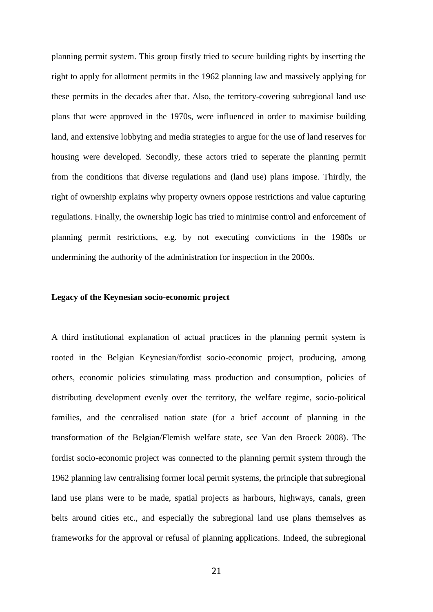planning permit system. This group firstly tried to secure building rights by inserting the right to apply for allotment permits in the 1962 planning law and massively applying for these permits in the decades after that. Also, the territory-covering subregional land use plans that were approved in the 1970s, were influenced in order to maximise building land, and extensive lobbying and media strategies to argue for the use of land reserves for housing were developed. Secondly, these actors tried to seperate the planning permit from the conditions that diverse regulations and (land use) plans impose. Thirdly, the right of ownership explains why property owners oppose restrictions and value capturing regulations. Finally, the ownership logic has tried to minimise control and enforcement of planning permit restrictions, e.g. by not executing convictions in the 1980s or undermining the authority of the administration for inspection in the 2000s.

#### **Legacy of the Keynesian socio-economic project**

A third institutional explanation of actual practices in the planning permit system is rooted in the Belgian Keynesian/fordist socio-economic project, producing, among others, economic policies stimulating mass production and consumption, policies of distributing development evenly over the territory, the welfare regime, socio-political families, and the centralised nation state (for a brief account of planning in the transformation of the Belgian/Flemish welfare state, see Van den Broeck 2008). The fordist socio-economic project was connected to the planning permit system through the 1962 planning law centralising former local permit systems, the principle that subregional land use plans were to be made, spatial projects as harbours, highways, canals, green belts around cities etc., and especially the subregional land use plans themselves as frameworks for the approval or refusal of planning applications. Indeed, the subregional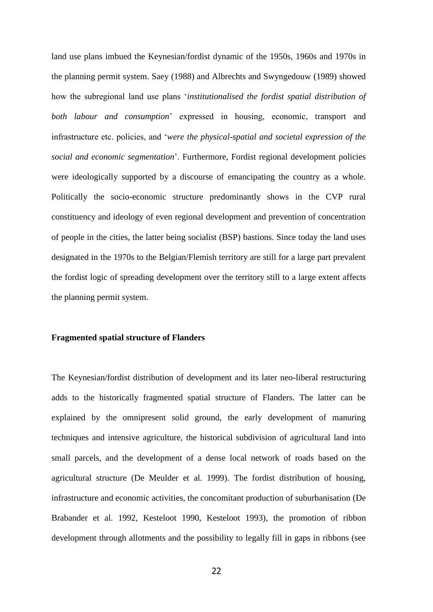land use plans imbued the Keynesian/fordist dynamic of the 1950s, 1960s and 1970s in the planning permit system. Saey (1988) and Albrechts and Swyngedouw (1989) showed how the subregional land use plans '*institutionalised the fordist spatial distribution of both labour and consumption*' expressed in housing, economic, transport and infrastructure etc. policies, and '*were the physical-spatial and societal expression of the social and economic segmentation*'. Furthermore, Fordist regional development policies were ideologically supported by a discourse of emancipating the country as a whole. Politically the socio-economic structure predominantly shows in the CVP rural constituency and ideology of even regional development and prevention of concentration of people in the cities, the latter being socialist (BSP) bastions. Since today the land uses designated in the 1970s to the Belgian/Flemish territory are still for a large part prevalent the fordist logic of spreading development over the territory still to a large extent affects the planning permit system.

## **Fragmented spatial structure of Flanders**

The Keynesian/fordist distribution of development and its later neo-liberal restructuring adds to the historically fragmented spatial structure of Flanders. The latter can be explained by the omnipresent solid ground, the early development of manuring techniques and intensive agriculture, the historical subdivision of agricultural land into small parcels, and the development of a dense local network of roads based on the agricultural structure (De Meulder et al. 1999). The fordist distribution of housing, infrastructure and economic activities, the concomitant production of suburbanisation (De Brabander et al. 1992, Kesteloot 1990, Kesteloot 1993), the promotion of ribbon development through allotments and the possibility to legally fill in gaps in ribbons (see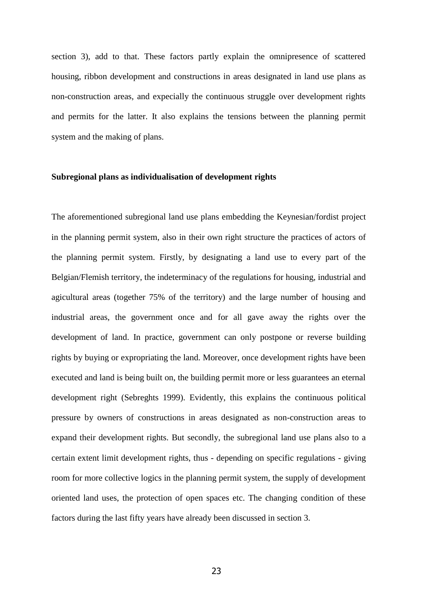section 3), add to that. These factors partly explain the omnipresence of scattered housing, ribbon development and constructions in areas designated in land use plans as non-construction areas, and expecially the continuous struggle over development rights and permits for the latter. It also explains the tensions between the planning permit system and the making of plans.

#### **Subregional plans as individualisation of development rights**

The aforementioned subregional land use plans embedding the Keynesian/fordist project in the planning permit system, also in their own right structure the practices of actors of the planning permit system. Firstly, by designating a land use to every part of the Belgian/Flemish territory, the indeterminacy of the regulations for housing, industrial and agicultural areas (together 75% of the territory) and the large number of housing and industrial areas, the government once and for all gave away the rights over the development of land. In practice, government can only postpone or reverse building rights by buying or expropriating the land. Moreover, once development rights have been executed and land is being built on, the building permit more or less guarantees an eternal development right (Sebreghts 1999). Evidently, this explains the continuous political pressure by owners of constructions in areas designated as non-construction areas to expand their development rights. But secondly, the subregional land use plans also to a certain extent limit development rights, thus - depending on specific regulations - giving room for more collective logics in the planning permit system, the supply of development oriented land uses, the protection of open spaces etc. The changing condition of these factors during the last fifty years have already been discussed in section 3.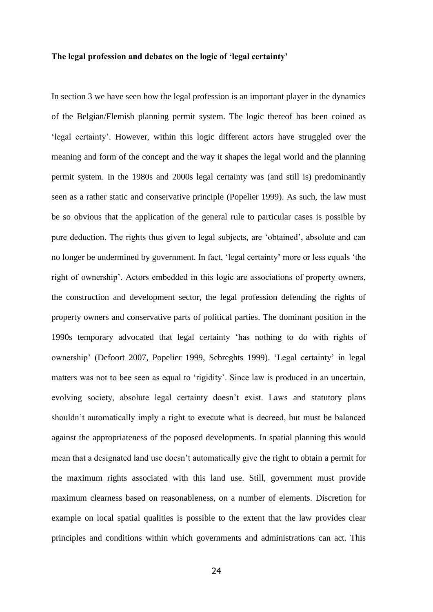#### **The legal profession and debates on the logic of 'legal certainty'**

In section 3 we have seen how the legal profession is an important player in the dynamics of the Belgian/Flemish planning permit system. The logic thereof has been coined as 'legal certainty'. However, within this logic different actors have struggled over the meaning and form of the concept and the way it shapes the legal world and the planning permit system. In the 1980s and 2000s legal certainty was (and still is) predominantly seen as a rather static and conservative principle (Popelier 1999). As such, the law must be so obvious that the application of the general rule to particular cases is possible by pure deduction. The rights thus given to legal subjects, are 'obtained', absolute and can no longer be undermined by government. In fact, 'legal certainty' more or less equals 'the right of ownership'. Actors embedded in this logic are associations of property owners, the construction and development sector, the legal profession defending the rights of property owners and conservative parts of political parties. The dominant position in the 1990s temporary advocated that legal certainty 'has nothing to do with rights of ownership' (Defoort 2007, Popelier 1999, Sebreghts 1999). 'Legal certainty' in legal matters was not to bee seen as equal to 'rigidity'. Since law is produced in an uncertain, evolving society, absolute legal certainty doesn't exist. Laws and statutory plans shouldn't automatically imply a right to execute what is decreed, but must be balanced against the appropriateness of the poposed developments. In spatial planning this would mean that a designated land use doesn't automatically give the right to obtain a permit for the maximum rights associated with this land use. Still, government must provide maximum clearness based on reasonableness, on a number of elements. Discretion for example on local spatial qualities is possible to the extent that the law provides clear principles and conditions within which governments and administrations can act. This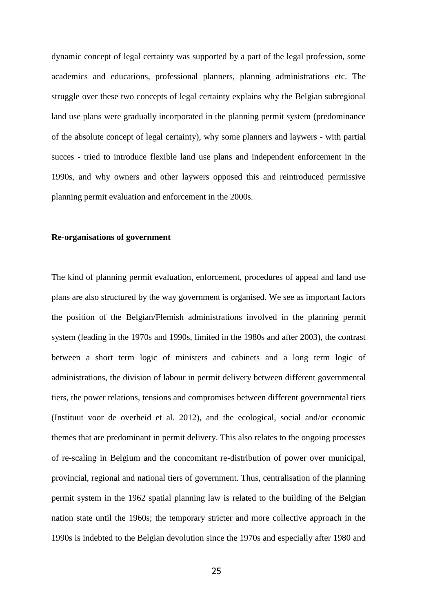dynamic concept of legal certainty was supported by a part of the legal profession, some academics and educations, professional planners, planning administrations etc. The struggle over these two concepts of legal certainty explains why the Belgian subregional land use plans were gradually incorporated in the planning permit system (predominance of the absolute concept of legal certainty), why some planners and laywers - with partial succes - tried to introduce flexible land use plans and independent enforcement in the 1990s, and why owners and other laywers opposed this and reintroduced permissive planning permit evaluation and enforcement in the 2000s.

## **Re-organisations of government**

The kind of planning permit evaluation, enforcement, procedures of appeal and land use plans are also structured by the way government is organised. We see as important factors the position of the Belgian/Flemish administrations involved in the planning permit system (leading in the 1970s and 1990s, limited in the 1980s and after 2003), the contrast between a short term logic of ministers and cabinets and a long term logic of administrations, the division of labour in permit delivery between different governmental tiers, the power relations, tensions and compromises between different governmental tiers (Instituut voor de overheid et al. 2012), and the ecological, social and/or economic themes that are predominant in permit delivery. This also relates to the ongoing processes of re-scaling in Belgium and the concomitant re-distribution of power over municipal, provincial, regional and national tiers of government. Thus, centralisation of the planning permit system in the 1962 spatial planning law is related to the building of the Belgian nation state until the 1960s; the temporary stricter and more collective approach in the 1990s is indebted to the Belgian devolution since the 1970s and especially after 1980 and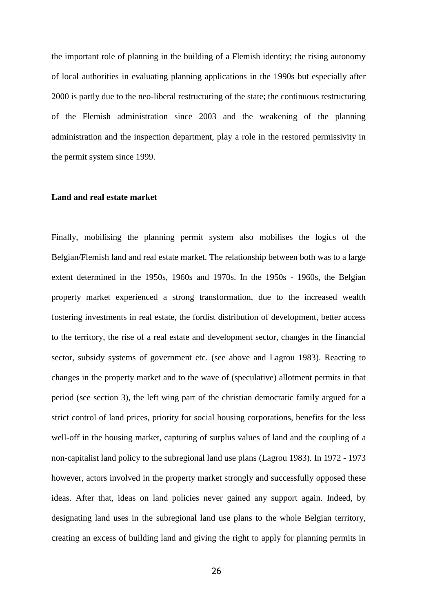the important role of planning in the building of a Flemish identity; the rising autonomy of local authorities in evaluating planning applications in the 1990s but especially after 2000 is partly due to the neo-liberal restructuring of the state; the continuous restructuring of the Flemish administration since 2003 and the weakening of the planning administration and the inspection department, play a role in the restored permissivity in the permit system since 1999.

## **Land and real estate market**

Finally, mobilising the planning permit system also mobilises the logics of the Belgian/Flemish land and real estate market. The relationship between both was to a large extent determined in the 1950s, 1960s and 1970s. In the 1950s - 1960s, the Belgian property market experienced a strong transformation, due to the increased wealth fostering investments in real estate, the fordist distribution of development, better access to the territory, the rise of a real estate and development sector, changes in the financial sector, subsidy systems of government etc. (see above and Lagrou 1983). Reacting to changes in the property market and to the wave of (speculative) allotment permits in that period (see section 3), the left wing part of the christian democratic family argued for a strict control of land prices, priority for social housing corporations, benefits for the less well-off in the housing market, capturing of surplus values of land and the coupling of a non-capitalist land policy to the subregional land use plans (Lagrou 1983). In 1972 - 1973 however, actors involved in the property market strongly and successfully opposed these ideas. After that, ideas on land policies never gained any support again. Indeed, by designating land uses in the subregional land use plans to the whole Belgian territory, creating an excess of building land and giving the right to apply for planning permits in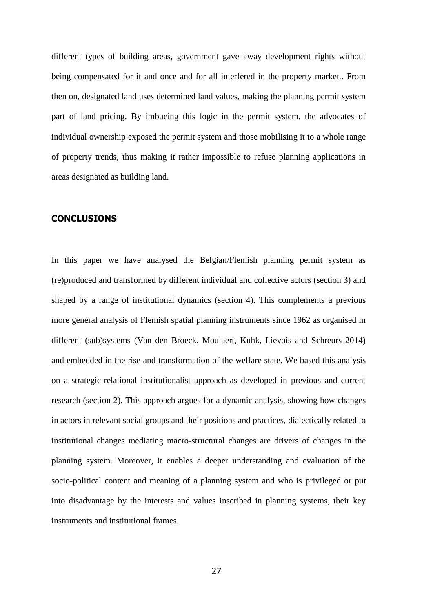different types of building areas, government gave away development rights without being compensated for it and once and for all interfered in the property market.. From then on, designated land uses determined land values, making the planning permit system part of land pricing. By imbueing this logic in the permit system, the advocates of individual ownership exposed the permit system and those mobilising it to a whole range of property trends, thus making it rather impossible to refuse planning applications in areas designated as building land.

## **CONCLUSIONS**

In this paper we have analysed the Belgian/Flemish planning permit system as (re)produced and transformed by different individual and collective actors (section 3) and shaped by a range of institutional dynamics (section 4). This complements a previous more general analysis of Flemish spatial planning instruments since 1962 as organised in different (sub)systems (Van den Broeck, Moulaert, Kuhk, Lievois and Schreurs 2014) and embedded in the rise and transformation of the welfare state. We based this analysis on a strategic-relational institutionalist approach as developed in previous and current research (section 2). This approach argues for a dynamic analysis, showing how changes in actors in relevant social groups and their positions and practices, dialectically related to institutional changes mediating macro-structural changes are drivers of changes in the planning system. Moreover, it enables a deeper understanding and evaluation of the socio-political content and meaning of a planning system and who is privileged or put into disadvantage by the interests and values inscribed in planning systems, their key instruments and institutional frames.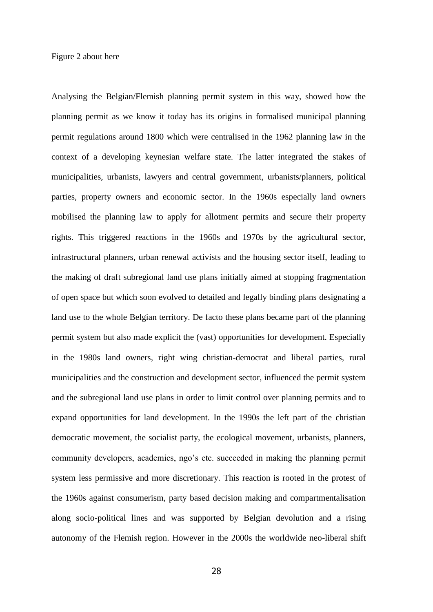Analysing the Belgian/Flemish planning permit system in this way, showed how the planning permit as we know it today has its origins in formalised municipal planning permit regulations around 1800 which were centralised in the 1962 planning law in the context of a developing keynesian welfare state. The latter integrated the stakes of municipalities, urbanists, lawyers and central government, urbanists/planners, political parties, property owners and economic sector. In the 1960s especially land owners mobilised the planning law to apply for allotment permits and secure their property rights. This triggered reactions in the 1960s and 1970s by the agricultural sector, infrastructural planners, urban renewal activists and the housing sector itself, leading to the making of draft subregional land use plans initially aimed at stopping fragmentation of open space but which soon evolved to detailed and legally binding plans designating a land use to the whole Belgian territory. De facto these plans became part of the planning permit system but also made explicit the (vast) opportunities for development. Especially in the 1980s land owners, right wing christian-democrat and liberal parties, rural municipalities and the construction and development sector, influenced the permit system and the subregional land use plans in order to limit control over planning permits and to expand opportunities for land development. In the 1990s the left part of the christian democratic movement, the socialist party, the ecological movement, urbanists, planners, community developers, academics, ngo's etc. succeeded in making the planning permit system less permissive and more discretionary. This reaction is rooted in the protest of the 1960s against consumerism, party based decision making and compartmentalisation along socio-political lines and was supported by Belgian devolution and a rising autonomy of the Flemish region. However in the 2000s the worldwide neo-liberal shift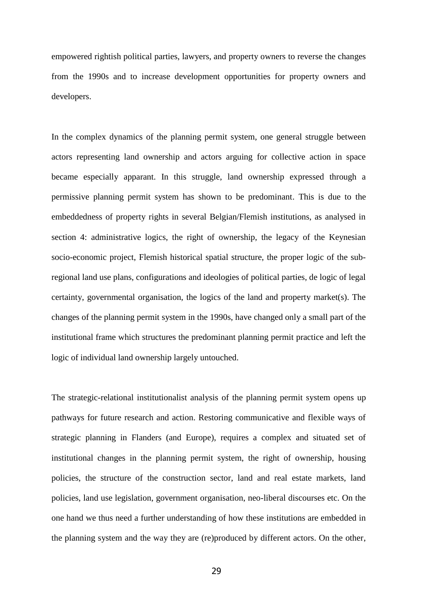empowered rightish political parties, lawyers, and property owners to reverse the changes from the 1990s and to increase development opportunities for property owners and developers.

In the complex dynamics of the planning permit system, one general struggle between actors representing land ownership and actors arguing for collective action in space became especially apparant. In this struggle, land ownership expressed through a permissive planning permit system has shown to be predominant. This is due to the embeddedness of property rights in several Belgian/Flemish institutions, as analysed in section 4: administrative logics, the right of ownership, the legacy of the Keynesian socio-economic project, Flemish historical spatial structure, the proper logic of the subregional land use plans, configurations and ideologies of political parties, de logic of legal certainty, governmental organisation, the logics of the land and property market(s). The changes of the planning permit system in the 1990s, have changed only a small part of the institutional frame which structures the predominant planning permit practice and left the logic of individual land ownership largely untouched.

The strategic-relational institutionalist analysis of the planning permit system opens up pathways for future research and action. Restoring communicative and flexible ways of strategic planning in Flanders (and Europe), requires a complex and situated set of institutional changes in the planning permit system, the right of ownership, housing policies, the structure of the construction sector, land and real estate markets, land policies, land use legislation, government organisation, neo-liberal discourses etc. On the one hand we thus need a further understanding of how these institutions are embedded in the planning system and the way they are (re)produced by different actors. On the other,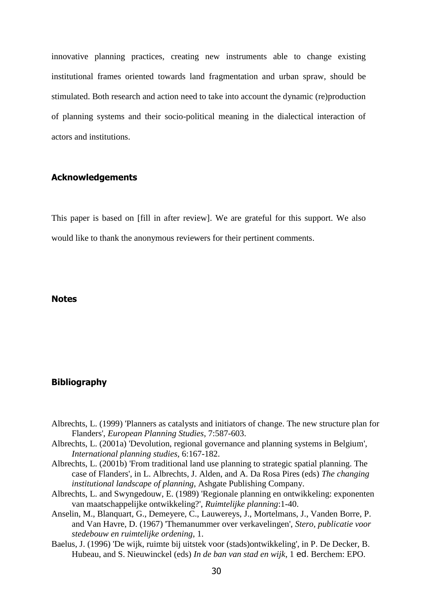innovative planning practices, creating new instruments able to change existing institutional frames oriented towards land fragmentation and urban spraw, should be stimulated. Both research and action need to take into account the dynamic (re)production of planning systems and their socio-political meaning in the dialectical interaction of actors and institutions.

## **Acknowledgements**

This paper is based on [fill in after review]. We are grateful for this support. We also would like to thank the anonymous reviewers for their pertinent comments.

# **Notes**

## **Bibliography**

- Albrechts, L. (1999) 'Planners as catalysts and initiators of change. The new structure plan for Flanders', *European Planning Studies*, 7:587-603.
- Albrechts, L. (2001a) 'Devolution, regional governance and planning systems in Belgium', *International planning studies*, 6:167-182.
- Albrechts, L. (2001b) 'From traditional land use planning to strategic spatial planning. The case of Flanders', in L. Albrechts, J. Alden, and A. Da Rosa Pires (eds) *The changing institutional landscape of planning*, Ashgate Publishing Company.
- Albrechts, L. and Swyngedouw, E. (1989) 'Regionale planning en ontwikkeling: exponenten van maatschappelijke ontwikkeling?', *Ruimtelijke planning*:1-40.
- Anselin, M., Blanquart, G., Demeyere, C., Lauwereys, J., Mortelmans, J., Vanden Borre, P. and Van Havre, D. (1967) 'Themanummer over verkavelingen', *Stero, publicatie voor stedebouw en ruimtelijke ordening*, 1.
- Baelus, J. (1996) 'De wijk, ruimte bij uitstek voor (stads)ontwikkeling', in P. De Decker, B. Hubeau, and S. Nieuwinckel (eds) *In de ban van stad en wijk*, 1 ed. Berchem: EPO.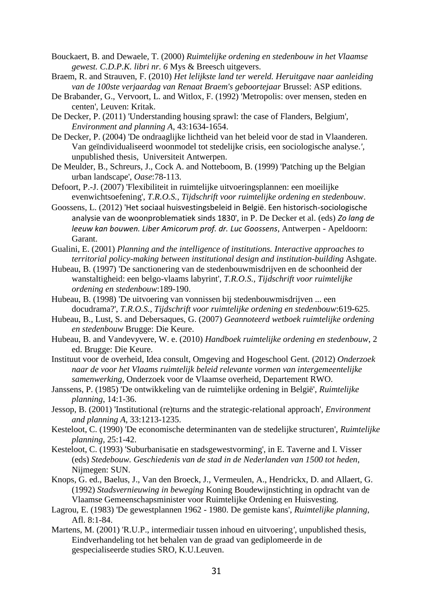- Bouckaert, B. and Dewaele, T. (2000) *Ruimtelijke ordening en stedenbouw in het Vlaamse gewest. C.D.P.K. libri nr. 6* Mys & Breesch uitgevers.
- Braem, R. and Strauven, F. (2010) *Het lelijkste land ter wereld. Heruitgave naar aanleiding van de 100ste verjaardag van Renaat Braem's geboortejaar* Brussel: ASP editions.
- De Brabander, G., Vervoort, L. and Witlox, F. (1992) 'Metropolis: over mensen, steden en centen', Leuven: Kritak.
- De Decker, P. (2011) 'Understanding housing sprawl: the case of Flanders, Belgium', *Environment and planning A*, 43:1634-1654.
- De Decker, P. (2004) 'De ondraaglijke lichtheid van het beleid voor de stad in Vlaanderen. Van geïndividualiseerd woonmodel tot stedelijke crisis, een sociologische analyse.*',*  unpublished thesis, Universiteit Antwerpen.
- De Meulder, B., Schreurs, J., Cock A. and Notteboom, B. (1999) 'Patching up the Belgian urban landscape', *Oase*:78-113.
- Defoort, P.-J. (2007) 'Flexibiliteit in ruimtelijke uitvoeringsplannen: een moeilijke evenwichtsoefening', *T.R.O.S., Tijdschrift voor ruimtelijke ordening en stedenbouw*.
- Goossens, L. (2012) 'Het sociaal huisvestingsbeleid in België. Een historisch-sociologische analysie van de woonproblematiek sinds 1830', in P. De Decker et al. (eds) *Zo lang de leeuw kan bouwen. Liber Amicorum prof. dr. Luc Goossens*, Antwerpen - Apeldoorn: Garant.
- Gualini, E. (2001) *Planning and the intelligence of institutions. Interactive approaches to territorial policy-making between institutional design and institution-building* Ashgate.
- Hubeau, B. (1997) 'De sanctionering van de stedenbouwmisdrijven en de schoonheid der wanstaltigheid: een belgo-vlaams labyrint', *T.R.O.S., Tijdschrift voor ruimtelijke ordening en stedenbouw*:189-190.
- Hubeau, B. (1998) 'De uitvoering van vonnissen bij stedenbouwmisdrijven ... een docudrama?', *T.R.O.S., Tijdschrift voor ruimtelijke ordening en stedenbouw*:619-625.
- Hubeau, B., Lust, S. and Debersaques, G. (2007) *Geannoteerd wetboek ruimtelijke ordening en stedenbouw* Brugge: Die Keure.
- Hubeau, B. and Vandevyvere, W. e. (2010) *Handboek ruimtelijke ordening en stedenbouw*, 2 ed. Brugge: Die Keure.
- Instituut voor de overheid, Idea consult, Omgeving and Hogeschool Gent. (2012) *Onderzoek naar de voor het Vlaams ruimtelijk beleid relevante vormen van intergemeentelijke samenwerking*, Onderzoek voor de Vlaamse overheid, Departement RWO.
- Janssens, P. (1985) 'De ontwikkeling van de ruimtelijke ordening in België', *Ruimtelijke planning*, 14:1-36.
- Jessop, B. (2001) 'Institutional (re)turns and the strategic-relational approach', *Environment and planning A*, 33:1213-1235.
- Kesteloot, C. (1990) 'De economische determinanten van de stedelijke structuren', *Ruimtelijke planning*, 25:1-42.
- Kesteloot, C. (1993) 'Suburbanisatie en stadsgewestvorming', in E. Taverne and I. Visser (eds) *Stedebouw. Geschiedenis van de stad in de Nederlanden van 1500 tot heden*, Nijmegen: SUN.
- Knops, G. ed., Baelus, J., Van den Broeck, J., Vermeulen, A., Hendrickx, D. and Allaert, G. (1992) *Stadsvernieuwing in beweging* Koning Boudewijnstichting in opdracht van de Vlaamse Gemeenschapsminister voor Ruimtelijke Ordening en Huisvesting.
- Lagrou, E. (1983) 'De gewestplannen 1962 1980. De gemiste kans', *Ruimtelijke planning*, Afl. 8:1-84.
- Martens, M. (2001) 'R.U.P., intermediair tussen inhoud en uitvoering*',* unpublished thesis, Eindverhandeling tot het behalen van de graad van gediplomeerde in de gespecialiseerde studies SRO, K.U.Leuven.